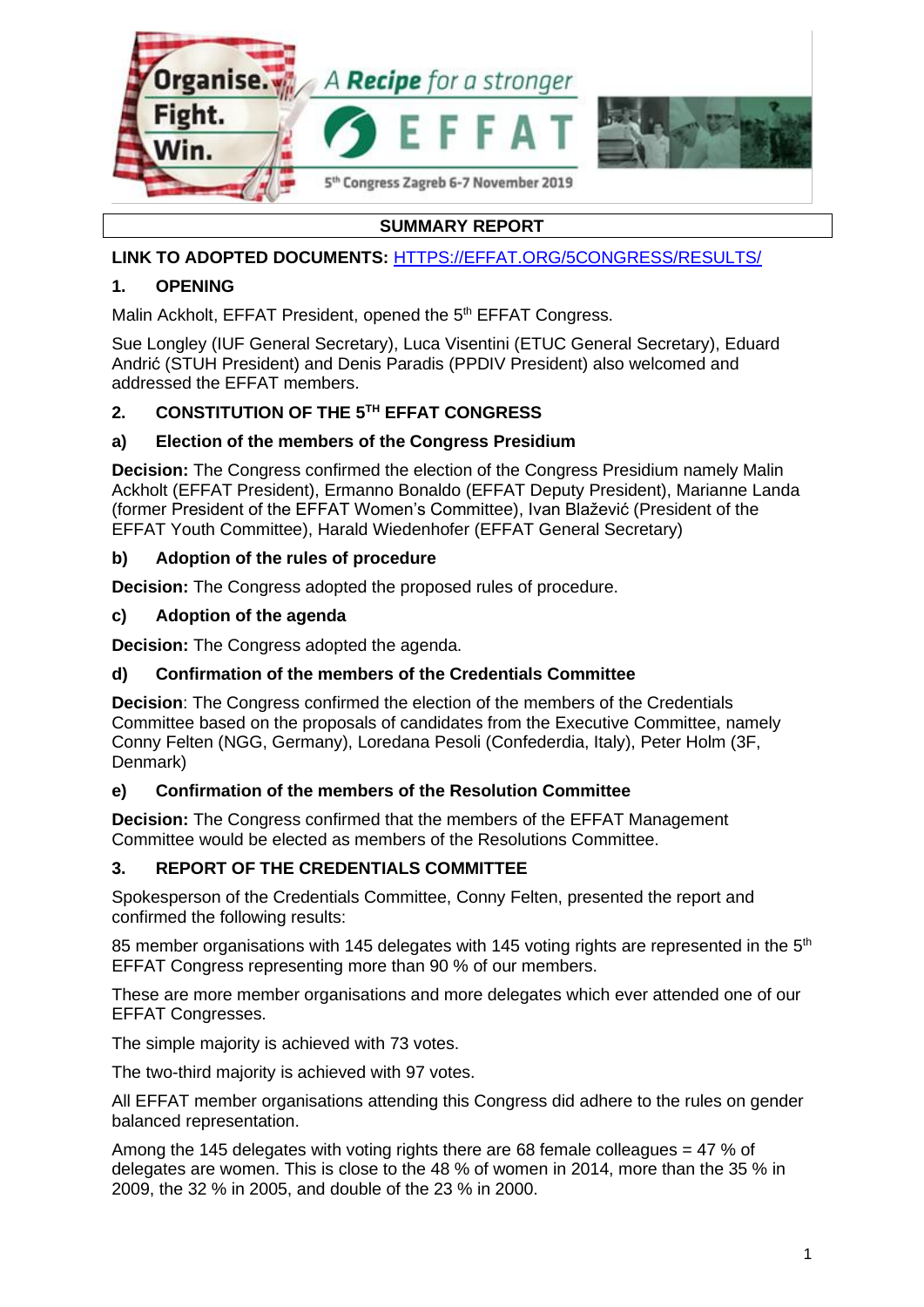

# **SUMMARY REPORT**

## **LINK TO ADOPTED DOCUMENTS:** [HTTPS://EFFAT.ORG/5CONGRESS/RESULTS/](https://effat.org/5congress/results/)

## **1. OPENING**

Malin Ackholt, EFFAT President, opened the 5<sup>th</sup> EFFAT Congress.

Sue Longley (IUF General Secretary), Luca Visentini (ETUC General Secretary), Eduard Andrić (STUH President) and Denis Paradis (PPDIV President) also welcomed and addressed the EFFAT members.

## **2. CONSTITUTION OF THE 5 TH EFFAT CONGRESS**

## **a) Election of the members of the Congress Presidium**

**Decision:** The Congress confirmed the election of the Congress Presidium namely Malin Ackholt (EFFAT President), Ermanno Bonaldo (EFFAT Deputy President), Marianne Landa (former President of the EFFAT Women's Committee), Ivan Blažević (President of the EFFAT Youth Committee), Harald Wiedenhofer (EFFAT General Secretary)

## **b) Adoption of the rules of procedure**

**Decision:** The Congress adopted the proposed rules of procedure.

## **c) Adoption of the agenda**

**Decision:** The Congress adopted the agenda.

## **d) Confirmation of the members of the Credentials Committee**

**Decision**: The Congress confirmed the election of the members of the Credentials Committee based on the proposals of candidates from the Executive Committee, namely Conny Felten (NGG, Germany), Loredana Pesoli (Confederdia, Italy), Peter Holm (3F, Denmark)

## **e) Confirmation of the members of the Resolution Committee**

**Decision:** The Congress confirmed that the members of the EFFAT Management Committee would be elected as members of the Resolutions Committee.

## **3. REPORT OF THE CREDENTIALS COMMITTEE**

Spokesperson of the Credentials Committee, Conny Felten, presented the report and confirmed the following results:

85 member organisations with 145 delegates with 145 voting rights are represented in the  $5<sup>th</sup>$ EFFAT Congress representing more than 90 % of our members.

These are more member organisations and more delegates which ever attended one of our EFFAT Congresses.

The simple majority is achieved with 73 votes.

The two-third majority is achieved with 97 votes.

All EFFAT member organisations attending this Congress did adhere to the rules on gender balanced representation.

Among the 145 delegates with voting rights there are 68 female colleagues  $=$  47 % of delegates are women. This is close to the 48 % of women in 2014, more than the 35 % in 2009, the 32 % in 2005, and double of the 23 % in 2000.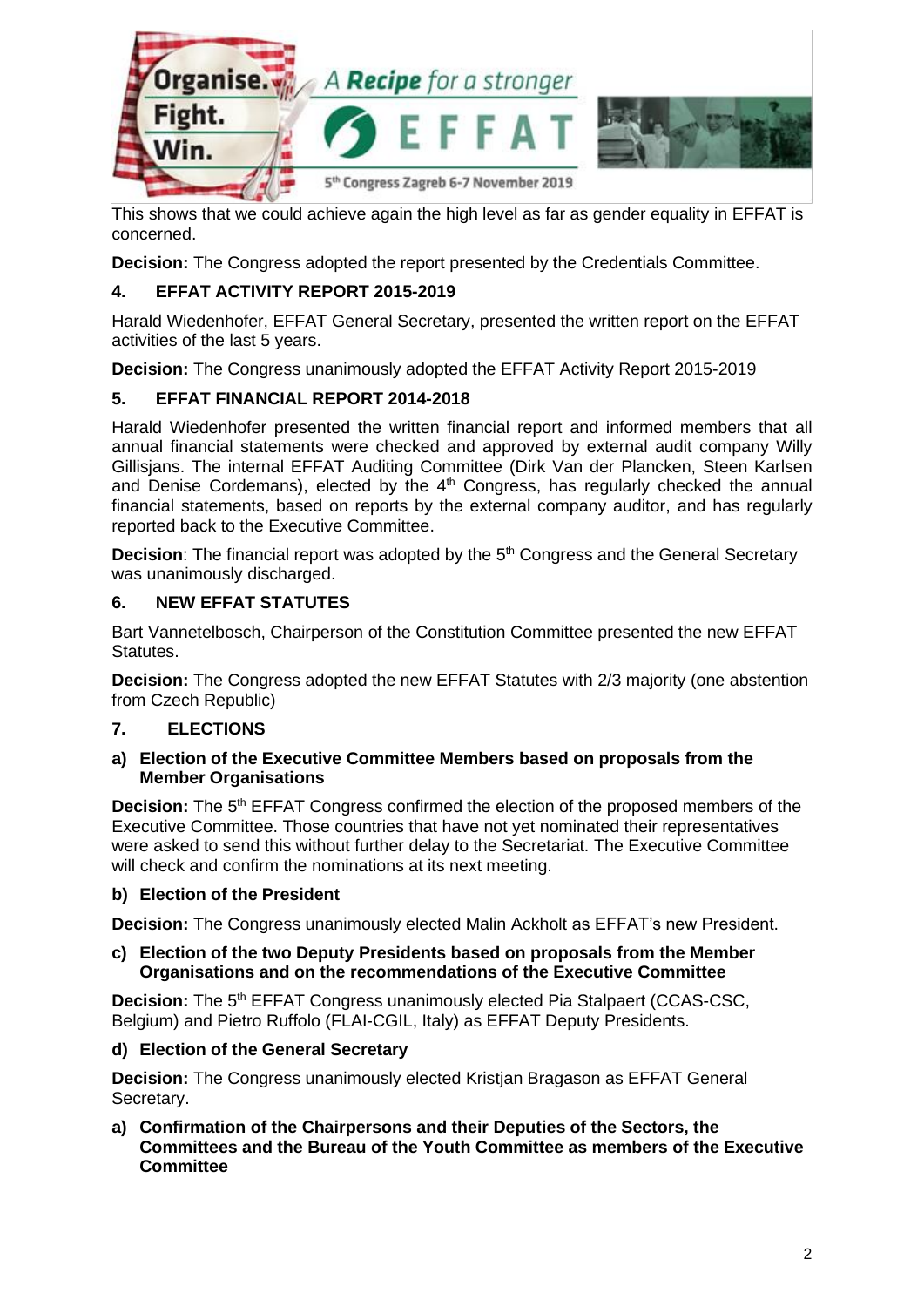

This shows that we could achieve again the high level as far as gender equality in EFFAT is concerned.

**Decision:** The Congress adopted the report presented by the Credentials Committee.

## **4. EFFAT ACTIVITY REPORT 2015-2019**

Harald Wiedenhofer, EFFAT General Secretary, presented the written report on the EFFAT activities of the last 5 years.

**Decision:** The Congress unanimously adopted the EFFAT Activity Report 2015-2019

## **5. EFFAT FINANCIAL REPORT 2014-2018**

Harald Wiedenhofer presented the written financial report and informed members that all annual financial statements were checked and approved by external audit company Willy Gillisjans. The internal EFFAT Auditing Committee (Dirk Van der Plancken, Steen Karlsen and Denise Cordemans), elected by the  $4<sup>th</sup>$  Congress, has regularly checked the annual financial statements, based on reports by the external company auditor, and has regularly reported back to the Executive Committee.

**Decision**: The financial report was adopted by the 5<sup>th</sup> Congress and the General Secretary was unanimously discharged.

## **6. NEW EFFAT STATUTES**

Bart Vannetelbosch, Chairperson of the Constitution Committee presented the new EFFAT Statutes.

**Decision:** The Congress adopted the new EFFAT Statutes with 2/3 majority (one abstention from Czech Republic)

## **7. ELECTIONS**

#### **a) Election of the Executive Committee Members based on proposals from the Member Organisations**

**Decision:** The 5<sup>th</sup> EFFAT Congress confirmed the election of the proposed members of the Executive Committee. Those countries that have not yet nominated their representatives were asked to send this without further delay to the Secretariat. The Executive Committee will check and confirm the nominations at its next meeting.

## **b) Election of the President**

**Decision:** The Congress unanimously elected Malin Ackholt as EFFAT's new President.

#### **c) Election of the two Deputy Presidents based on proposals from the Member Organisations and on the recommendations of the Executive Committee**

**Decision:** The 5<sup>th</sup> EFFAT Congress unanimously elected Pia Stalpaert (CCAS-CSC, Belgium) and Pietro Ruffolo (FLAI-CGIL, Italy) as EFFAT Deputy Presidents.

## **d) Election of the General Secretary**

**Decision:** The Congress unanimously elected Kristjan Bragason as EFFAT General Secretary.

**a) Confirmation of the Chairpersons and their Deputies of the Sectors, the Committees and the Bureau of the Youth Committee as members of the Executive Committee**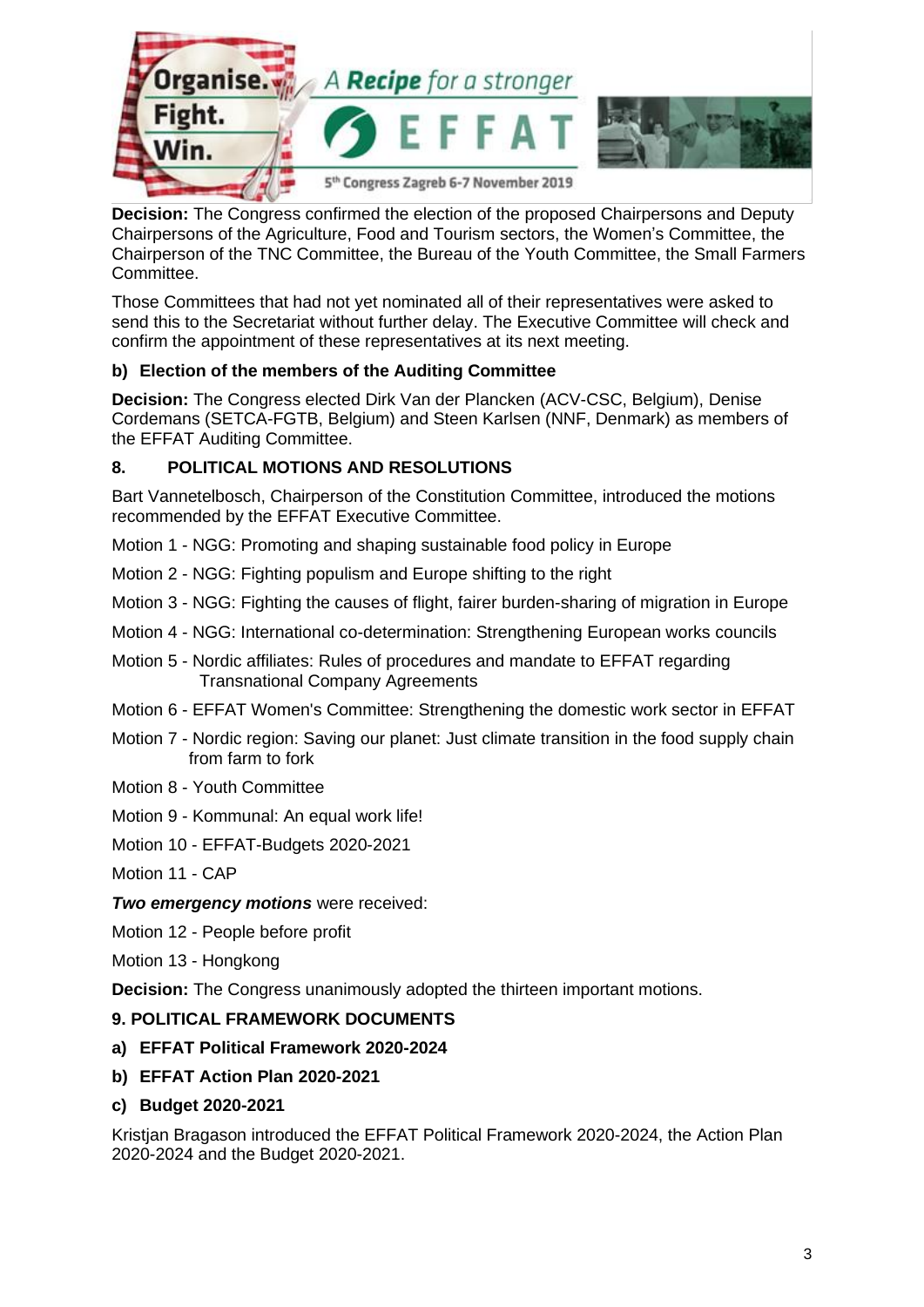

**Decision:** The Congress confirmed the election of the proposed Chairpersons and Deputy Chairpersons of the Agriculture, Food and Tourism sectors, the Women's Committee, the Chairperson of the TNC Committee, the Bureau of the Youth Committee, the Small Farmers Committee.

Those Committees that had not yet nominated all of their representatives were asked to send this to the Secretariat without further delay. The Executive Committee will check and confirm the appointment of these representatives at its next meeting.

## **b) Election of the members of the Auditing Committee**

**Decision:** The Congress elected Dirk Van der Plancken (ACV-CSC, Belgium), Denise Cordemans (SETCA-FGTB, Belgium) and Steen Karlsen (NNF, Denmark) as members of the EFFAT Auditing Committee.

## **8. POLITICAL MOTIONS AND RESOLUTIONS**

Bart Vannetelbosch, Chairperson of the Constitution Committee, introduced the motions recommended by the EFFAT Executive Committee.

- Motion 1 NGG: Promoting and shaping sustainable food policy in Europe
- Motion 2 NGG: Fighting populism and Europe shifting to the right
- Motion 3 NGG: Fighting the causes of flight, fairer burden-sharing of migration in Europe
- Motion 4 NGG: International co-determination: Strengthening European works councils
- Motion 5 Nordic affiliates: Rules of procedures and mandate to EFFAT regarding Transnational Company Agreements
- Motion 6 EFFAT Women's Committee: Strengthening the domestic work sector in EFFAT
- Motion 7 Nordic region: Saving our planet: Just climate transition in the food supply chain from farm to fork
- Motion 8 Youth Committee
- Motion 9 Kommunal: An equal work life!
- Motion 10 EFFAT-Budgets 2020-2021
- Motion 11 CAP

*Two emergency motions* were received:

- Motion 12 People before profit
- Motion 13 Hongkong

**Decision:** The Congress unanimously adopted the thirteen important motions.

## **9. POLITICAL FRAMEWORK DOCUMENTS**

- **a) EFFAT Political Framework 2020-2024**
- **b) EFFAT Action Plan 2020-2021**
- **c) Budget 2020-2021**

Kristjan Bragason introduced the EFFAT Political Framework 2020-2024, the Action Plan 2020-2024 and the Budget 2020-2021.